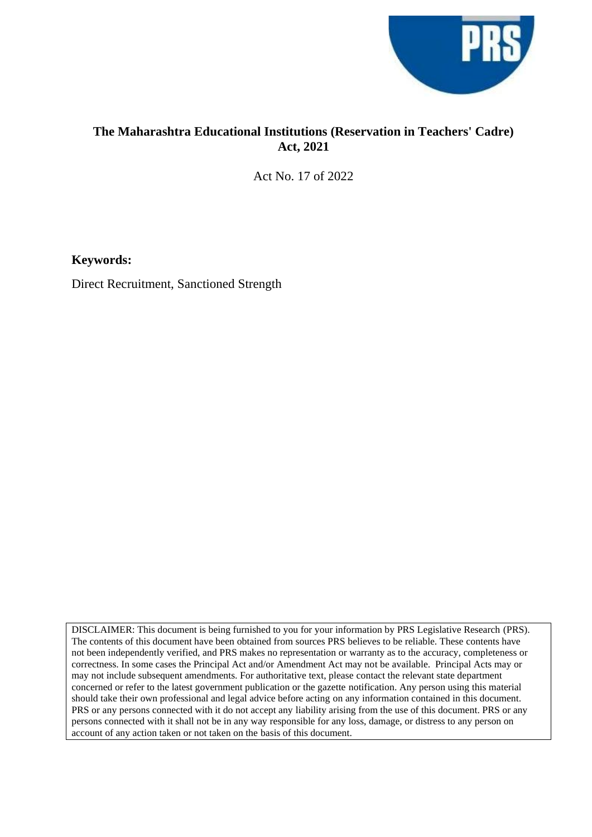

## **The Maharashtra Educational Institutions (Reservation in Teachers' Cadre) Act, 2021**

Act No. 17 of 2022

**Keywords:** 

Direct Recruitment, Sanctioned Strength

DISCLAIMER: This document is being furnished to you for your information by PRS Legislative Research (PRS). The contents of this document have been obtained from sources PRS believes to be reliable. These contents have not been independently verified, and PRS makes no representation or warranty as to the accuracy, completeness or correctness. In some cases the Principal Act and/or Amendment Act may not be available. Principal Acts may or may not include subsequent amendments. For authoritative text, please contact the relevant state department concerned or refer to the latest government publication or the gazette notification. Any person using this material should take their own professional and legal advice before acting on any information contained in this document. PRS or any persons connected with it do not accept any liability arising from the use of this document. PRS or any persons connected with it shall not be in any way responsible for any loss, damage, or distress to any person on account of any action taken or not taken on the basis of this document.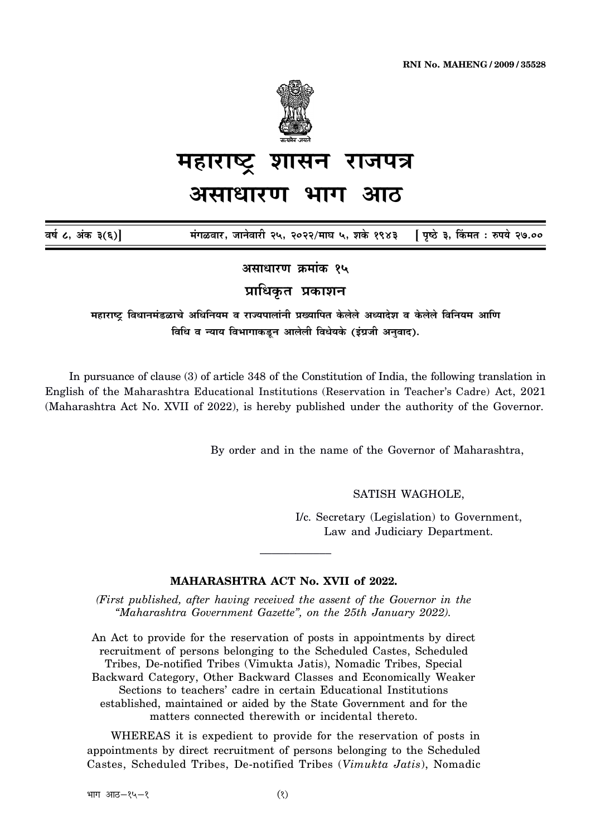

## शासन राजपत्र महाराष्ट्र

## असाधारण भाग

वर्ष ८, अंक ३(६)]

मंगळवार, जानेवारी २५, २०२२/माघ ५, शके १९४३ [ पृष्ठे ३, किंमत : रुपये २७.००

असाधारण क्रमांक १५

प्राधिकृत प्रकाशन

महाराष्ट्र विधानमंडळाचे अधिनियम व राज्यपालांनी प्रख्यापित केलेले अध्यादेश व केलेले विनियम आणि विधि व न्याय विभागाकडून आलेली विधेयके (इंग्रजी अनुवाद).

In pursuance of clause (3) of article 348 of the Constitution of India, the following translation in English of the Maharashtra Educational Institutions (Reservation in Teacher's Cadre) Act, 2021 (Maharashtra Act No. XVII of 2022), is hereby published under the authority of the Governor.

By order and in the name of the Governor of Maharashtra,

SATISH WAGHOLE,

I/c. Secretary (Legislation) to Government, Law and Judiciary Department.

## MAHARASHTRA ACT No. XVII of 2022.

(First published, after having received the assent of the Governor in the "Maharashtra Government Gazette", on the 25th January 2022).

An Act to provide for the reservation of posts in appointments by direct recruitment of persons belonging to the Scheduled Castes, Scheduled Tribes, De-notified Tribes (Vimukta Jatis), Nomadic Tribes, Special Backward Category, Other Backward Classes and Economically Weaker Sections to teachers' cadre in certain Educational Institutions established, maintained or aided by the State Government and for the matters connected therewith or incidental thereto.

WHEREAS it is expedient to provide for the reservation of posts in appointments by direct recruitment of persons belonging to the Scheduled Castes, Scheduled Tribes, De-notified Tribes (Vimukta Jatis), Nomadic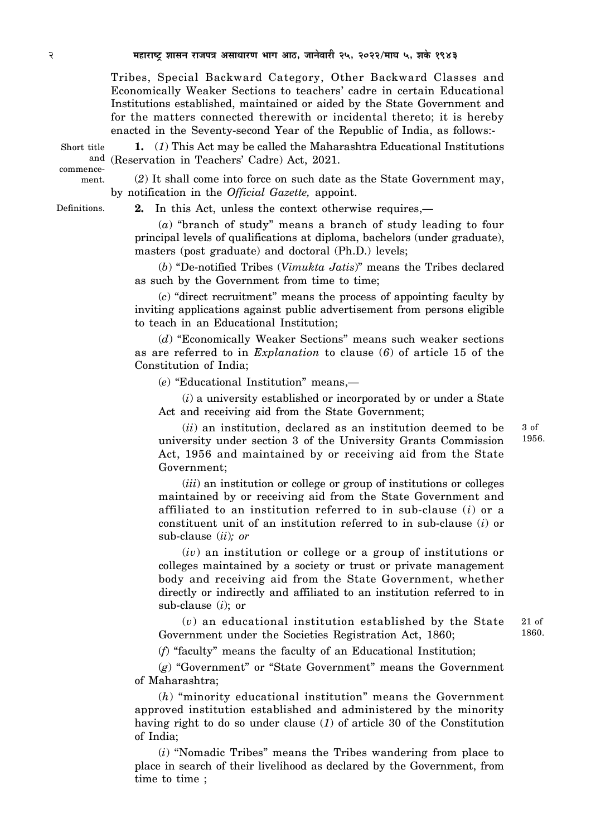Tribes, Special Backward Category, Other Backward Classes and Economically Weaker Sections to teachers' cadre in certain Educational Institutions established, maintained or aided by the State Government and for the matters connected therewith or incidental thereto; it is hereby enacted in the Seventy-second Year of the Republic of India, as follows:-

Short title commence-

ment.

**1.** (*1*) This Act may be called the Maharashtra Educational Institutions and (Reservation in Teachers' Cadre) Act, 2021.

(*2*) It shall come into force on such date as the State Government may, by notification in the *Official Gazette,* appoint.

Definitions.

**2.** In this Act, unless the context otherwise requires,—

(*a*) "branch of study" means a branch of study leading to four principal levels of qualifications at diploma, bachelors (under graduate), masters (post graduate) and doctoral (Ph.D.) levels;

(*b*) "De-notified Tribes (*Vimukta Jatis*)" means the Tribes declared as such by the Government from time to time;

(*c*) "direct recruitment" means the process of appointing faculty by inviting applications against public advertisement from persons eligible to teach in an Educational Institution;

(*d*) "Economically Weaker Sections" means such weaker sections as are referred to in *Explanation* to clause (*6*) of article 15 of the Constitution of India;

(*e*) "Educational Institution" means,—

(*i*) a university established or incorporated by or under a State Act and receiving aid from the State Government;

(*ii*) an institution, declared as an institution deemed to be university under section 3 of the University Grants Commission Act, 1956 and maintained by or receiving aid from the State Government;

(*iii*) an institution or college or group of institutions or colleges maintained by or receiving aid from the State Government and affiliated to an institution referred to in sub-clause (*i*) or a constituent unit of an institution referred to in sub-clause (*i*) or sub-clause (*ii*)*; or*

(*iv*) an institution or college or a group of institutions or colleges maintained by a society or trust or private management body and receiving aid from the State Government, whether directly or indirectly and affiliated to an institution referred to in sub-clause (*i*); or

(*v*) an educational institution established by the State Government under the Societies Registration Act, 1860; 21 of

(*f*) "faculty" means the faculty of an Educational Institution;

(*g*) "Government" or "State Government" means the Government of Maharashtra;

(*h*) "minority educational institution" means the Government approved institution established and administered by the minority having right to do so under clause (*1*) of article 30 of the Constitution of India;

(*i*) "Nomadic Tribes" means the Tribes wandering from place to place in search of their livelihood as declared by the Government, from time to time ;

3 of 1956.

1860.